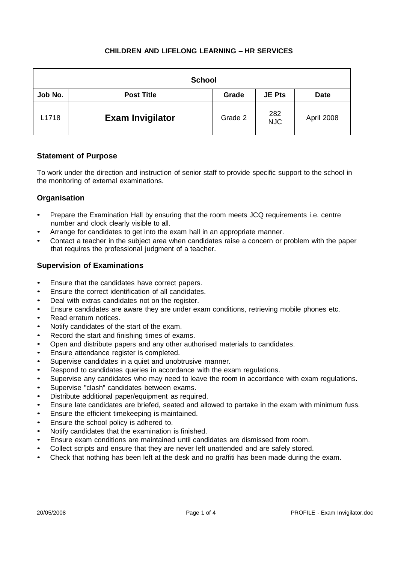| <b>School</b> |                         |         |                   |             |  |  |
|---------------|-------------------------|---------|-------------------|-------------|--|--|
| Job No.       | <b>Post Title</b>       | Grade   | <b>JE Pts</b>     | <b>Date</b> |  |  |
| L1718         | <b>Exam Invigilator</b> | Grade 2 | 282<br><b>NJC</b> | April 2008  |  |  |

## **Statement of Purpose**

To work under the direction and instruction of senior staff to provide specific support to the school in the monitoring of external examinations.

# **Organisation**

- Prepare the Examination Hall by ensuring that the room meets JCQ requirements i.e. centre number and clock clearly visible to all.
- Arrange for candidates to get into the exam hall in an appropriate manner.
- Contact a teacher in the subject area when candidates raise a concern or problem with the paper that requires the professional judgment of a teacher.

## **Supervision of Examinations**

- Ensure that the candidates have correct papers.
- Ensure the correct identification of all candidates.
- Deal with extras candidates not on the register.
- Ensure candidates are aware they are under exam conditions, retrieving mobile phones etc.
- Read erratum notices.
- Notify candidates of the start of the exam.
- Record the start and finishing times of exams.
- Open and distribute papers and any other authorised materials to candidates.
- Ensure attendance register is completed.
- Supervise candidates in a quiet and unobtrusive manner.
- Respond to candidates queries in accordance with the exam regulations.
- Supervise any candidates who may need to leave the room in accordance with exam regulations.
- Supervise "clash" candidates between exams.
- Distribute additional paper/equipment as required.
- Ensure late candidates are briefed, seated and allowed to partake in the exam with minimum fuss.
- Ensure the efficient timekeeping is maintained.
- Ensure the school policy is adhered to.
- Notify candidates that the examination is finished.
- Ensure exam conditions are maintained until candidates are dismissed from room.
- Collect scripts and ensure that they are never left unattended and are safely stored.
- Check that nothing has been left at the desk and no graffiti has been made during the exam.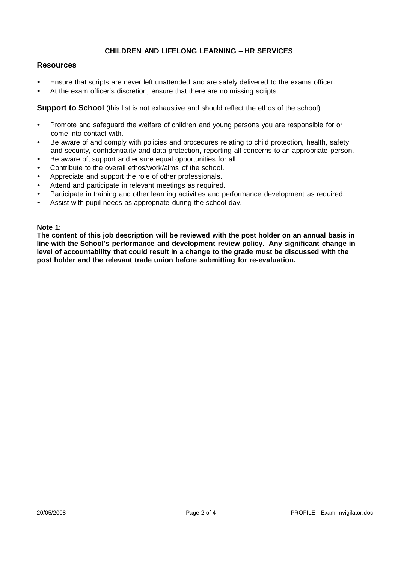## **Resources**

- Ensure that scripts are never left unattended and are safely delivered to the exams officer.
- At the exam officer's discretion, ensure that there are no missing scripts.

**Support to School** (this list is not exhaustive and should reflect the ethos of the school)

- Promote and safeguard the welfare of children and young persons you are responsible for or come into contact with.
- Be aware of and comply with policies and procedures relating to child protection, health, safety and security, confidentiality and data protection, reporting all concerns to an appropriate person.
- Be aware of, support and ensure equal opportunities for all.
- Contribute to the overall ethos/work/aims of the school.
- Appreciate and support the role of other professionals.
- Attend and participate in relevant meetings as required.
- Participate in training and other learning activities and performance development as required.
- Assist with pupil needs as appropriate during the school day.

#### **Note 1:**

**The content of this job description will be reviewed with the post holder on an annual basis in line with the School's performance and development review policy. Any significant change in level of accountability that could result in a change to the grade must be discussed with the post holder and the relevant trade union before submitting for re-evaluation.**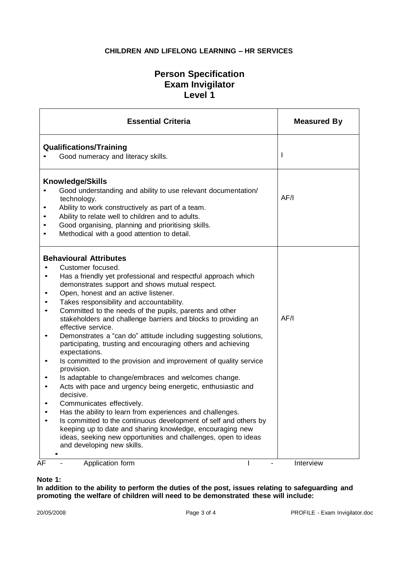# **Person Specification Exam Invigilator Level 1**

|                             | <b>Essential Criteria</b>                                                                                                                                                                                                                                                                                                                                                                                                                                                                                                                                                                                                                                                                                                                                                                                                                                                                                                                                                                                                                                                                                           | <b>Measured By</b> |
|-----------------------------|---------------------------------------------------------------------------------------------------------------------------------------------------------------------------------------------------------------------------------------------------------------------------------------------------------------------------------------------------------------------------------------------------------------------------------------------------------------------------------------------------------------------------------------------------------------------------------------------------------------------------------------------------------------------------------------------------------------------------------------------------------------------------------------------------------------------------------------------------------------------------------------------------------------------------------------------------------------------------------------------------------------------------------------------------------------------------------------------------------------------|--------------------|
|                             | <b>Qualifications/Training</b><br>Good numeracy and literacy skills.                                                                                                                                                                                                                                                                                                                                                                                                                                                                                                                                                                                                                                                                                                                                                                                                                                                                                                                                                                                                                                                | $\mathbf{I}$       |
| $\bullet$<br>$\bullet$<br>٠ | <b>Knowledge/Skills</b><br>Good understanding and ability to use relevant documentation/<br>technology.<br>Ability to work constructively as part of a team.<br>Ability to relate well to children and to adults.<br>Good organising, planning and prioritising skills.<br>Methodical with a good attention to detail.                                                                                                                                                                                                                                                                                                                                                                                                                                                                                                                                                                                                                                                                                                                                                                                              | AF/I               |
| $\bullet$<br>$\bullet$      | <b>Behavioural Attributes</b><br>Customer focused.<br>Has a friendly yet professional and respectful approach which<br>demonstrates support and shows mutual respect.<br>Open, honest and an active listener.<br>Takes responsibility and accountability.<br>Committed to the needs of the pupils, parents and other<br>stakeholders and challenge barriers and blocks to providing an<br>effective service.<br>Demonstrates a "can do" attitude including suggesting solutions,<br>participating, trusting and encouraging others and achieving<br>expectations.<br>Is committed to the provision and improvement of quality service<br>provision.<br>Is adaptable to change/embraces and welcomes change.<br>Acts with pace and urgency being energetic, enthusiastic and<br>decisive.<br>Communicates effectively.<br>Has the ability to learn from experiences and challenges.<br>Is committed to the continuous development of self and others by<br>keeping up to date and sharing knowledge, encouraging new<br>ideas, seeking new opportunities and challenges, open to ideas<br>and developing new skills. | AF/I               |
| AF                          | Application form                                                                                                                                                                                                                                                                                                                                                                                                                                                                                                                                                                                                                                                                                                                                                                                                                                                                                                                                                                                                                                                                                                    | Interview          |

## **Note 1:**

**In addition to the ability to perform the duties of the post, issues relating to safeguarding and promoting the welfare of children will need to be demonstrated these will include:**